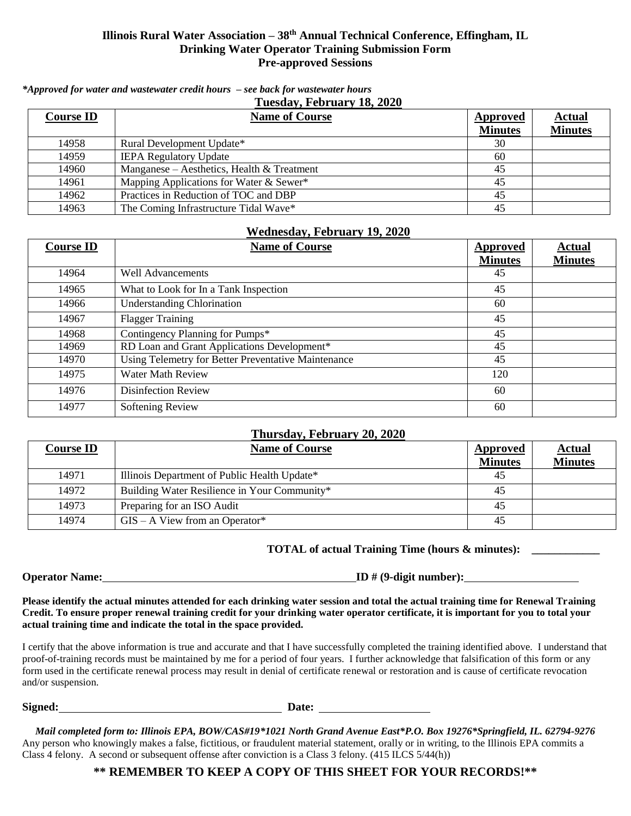## **Illinois Rural Water Association – 38 th Annual Technical Conference, Effingham, IL Drinking Water Operator Training Submission Form Pre-approved Sessions**

*\*Approved for water and wastewater credit hours – see back for wastewater hours*

**Tuesday, February 18, 2020**

| <b>Course ID</b> | <b>Name of Course</b>                        | <b>Approved</b> | <b>Actual</b>  |
|------------------|----------------------------------------------|-----------------|----------------|
|                  |                                              | <b>Minutes</b>  | <b>Minutes</b> |
| 14958            | Rural Development Update*                    | 30              |                |
| 14959            | <b>IEPA Regulatory Update</b>                | 60              |                |
| 14960            | Manganese – Aesthetics, Health $&$ Treatment | 45              |                |
| 14961            | Mapping Applications for Water & Sewer*      | 45              |                |
| 14962            | Practices in Reduction of TOC and DBP        | 45              |                |
| 14963            | The Coming Infrastructure Tidal Wave*        | 45              |                |

### **Wednesday, February 19, 2020**

| <b>Course ID</b> | <b>Name of Course</b>                               | Approved<br><b>Minutes</b> | <b>Actual</b><br><b>Minutes</b> |
|------------------|-----------------------------------------------------|----------------------------|---------------------------------|
| 14964            | <b>Well Advancements</b>                            | 45                         |                                 |
| 14965            | What to Look for In a Tank Inspection               | 45                         |                                 |
| 14966            | <b>Understanding Chlorination</b>                   | 60                         |                                 |
| 14967            | <b>Flagger Training</b>                             | 45                         |                                 |
| 14968            | Contingency Planning for Pumps*                     | 45                         |                                 |
| 14969            | RD Loan and Grant Applications Development*         | 45                         |                                 |
| 14970            | Using Telemetry for Better Preventative Maintenance | 45                         |                                 |
| 14975            | <b>Water Math Review</b>                            | 120                        |                                 |
| 14976            | <b>Disinfection Review</b>                          | 60                         |                                 |
| 14977            | <b>Softening Review</b>                             | 60                         |                                 |

#### **Thursday, February 20, 2020**

| <b>Course ID</b> | <b>Name of Course</b>                        | <b>Approved</b><br><b>Minutes</b> | <b>Actual</b><br><b>Minutes</b> |
|------------------|----------------------------------------------|-----------------------------------|---------------------------------|
| 14971            | Illinois Department of Public Health Update* | 45                                |                                 |
| 14972            | Building Water Resilience in Your Community* | 45                                |                                 |
| 14973            | Preparing for an ISO Audit                   | 45                                |                                 |
| 14974            | $GIS - A View from an Operator*$             | 45                                |                                 |

# **TOTAL of actual Training Time (hours & minutes): \_\_\_\_\_\_\_\_\_\_\_\_**

**Operator Name: ID # (9-digit number):**

**Please identify the actual minutes attended for each drinking water session and total the actual training time for Renewal Training Credit. To ensure proper renewal training credit for your drinking water operator certificate, it is important for you to total your actual training time and indicate the total in the space provided.** 

I certify that the above information is true and accurate and that I have successfully completed the training identified above. I understand that proof-of-training records must be maintained by me for a period of four years. I further acknowledge that falsification of this form or any form used in the certificate renewal process may result in denial of certificate renewal or restoration and is cause of certificate revocation and/or suspension.

**Signed: Date:**

*Mail completed form to: Illinois EPA, BOW/CAS#19\*1021 North Grand Avenue East\*P.O. Box 19276\*Springfield, IL. 62794-9276* Any person who knowingly makes a false, fictitious, or fraudulent material statement, orally or in writing, to the Illinois EPA commits a Class 4 felony. A second or subsequent offense after conviction is a Class 3 felony. (415 ILCS 5/44(h))

# **\*\* REMEMBER TO KEEP A COPY OF THIS SHEET FOR YOUR RECORDS!\*\***